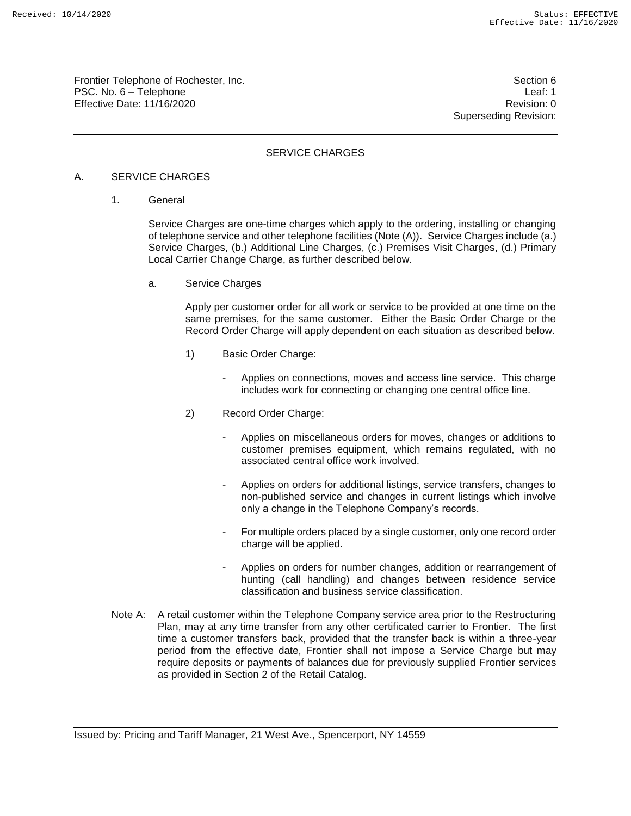Frontier Telephone of Rochester, Inc. Section 6 PSC. No. 6 – Telephone Leaf: 1 Effective Date: 11/16/2020 **Review Accounts** Effective Date: 0

Superseding Revision:

### SERVICE CHARGES

#### A. SERVICE CHARGES

1. General

Service Charges are one-time charges which apply to the ordering, installing or changing of telephone service and other telephone facilities (Note (A)). Service Charges include (a.) Service Charges, (b.) Additional Line Charges, (c.) Premises Visit Charges, (d.) Primary Local Carrier Change Charge, as further described below.

a. Service Charges

Apply per customer order for all work or service to be provided at one time on the same premises, for the same customer. Either the Basic Order Charge or the Record Order Charge will apply dependent on each situation as described below.

- 1) Basic Order Charge:
	- Applies on connections, moves and access line service. This charge includes work for connecting or changing one central office line.
- 2) Record Order Charge:
	- Applies on miscellaneous orders for moves, changes or additions to customer premises equipment, which remains regulated, with no associated central office work involved.
	- Applies on orders for additional listings, service transfers, changes to non-published service and changes in current listings which involve only a change in the Telephone Company's records.
	- For multiple orders placed by a single customer, only one record order charge will be applied.
	- Applies on orders for number changes, addition or rearrangement of hunting (call handling) and changes between residence service classification and business service classification.
- Note A: A retail customer within the Telephone Company service area prior to the Restructuring Plan, may at any time transfer from any other certificated carrier to Frontier. The first time a customer transfers back, provided that the transfer back is within a three-year period from the effective date, Frontier shall not impose a Service Charge but may require deposits or payments of balances due for previously supplied Frontier services as provided in Section 2 of the Retail Catalog.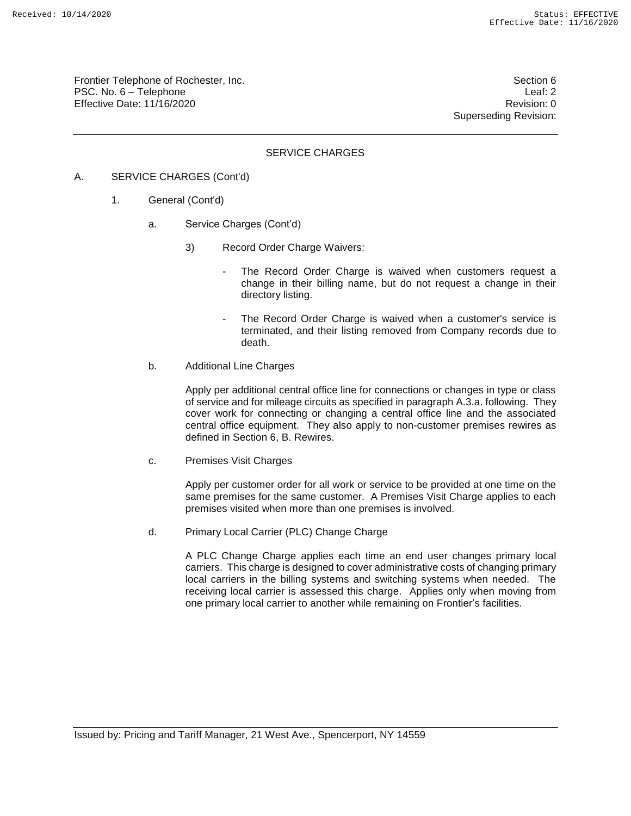Frontier Telephone of Rochester, Inc. Section 6 PSC. No. 6 – Telephone Leaf: 2 Effective Date: 11/16/2020 **Review Accounts** Effective Date: 0

Superseding Revision:

### SERVICE CHARGES

- A. SERVICE CHARGES (Cont'd)
	- 1. General (Cont'd)
		- a. Service Charges (Cont'd)
			- 3) Record Order Charge Waivers:
				- The Record Order Charge is waived when customers request a change in their billing name, but do not request a change in their directory listing.
				- The Record Order Charge is waived when a customer's service is terminated, and their listing removed from Company records due to death.
		- b. Additional Line Charges

Apply per additional central office line for connections or changes in type or class of service and for mileage circuits as specified in paragraph A.3.a. following. They cover work for connecting or changing a central office line and the associated central office equipment. They also apply to non-customer premises rewires as defined in Section 6, B. Rewires.

c. Premises Visit Charges

Apply per customer order for all work or service to be provided at one time on the same premises for the same customer. A Premises Visit Charge applies to each premises visited when more than one premises is involved.

d. Primary Local Carrier (PLC) Change Charge

A PLC Change Charge applies each time an end user changes primary local carriers. This charge is designed to cover administrative costs of changing primary local carriers in the billing systems and switching systems when needed. The receiving local carrier is assessed this charge. Applies only when moving from one primary local carrier to another while remaining on Frontier's facilities.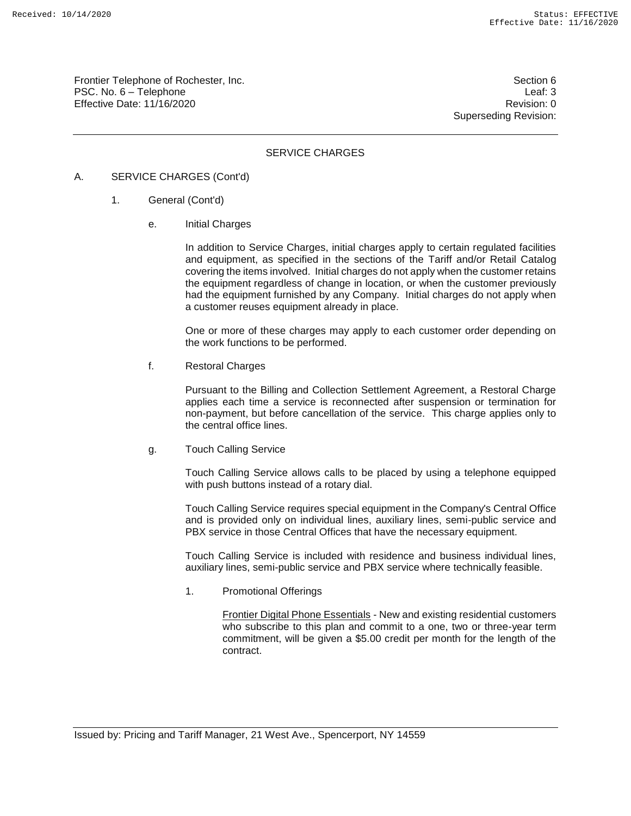Frontier Telephone of Rochester, Inc. Section 6 Section 6 PSC. No. 6 – Telephone Leaf: 3 Effective Date: 11/16/2020 **Review Accounts** Effective Date: 0

Superseding Revision:

### SERVICE CHARGES

#### A. SERVICE CHARGES (Cont'd)

- 1. General (Cont'd)
	- e. Initial Charges

In addition to Service Charges, initial charges apply to certain regulated facilities and equipment, as specified in the sections of the Tariff and/or Retail Catalog covering the items involved. Initial charges do not apply when the customer retains the equipment regardless of change in location, or when the customer previously had the equipment furnished by any Company. Initial charges do not apply when a customer reuses equipment already in place.

One or more of these charges may apply to each customer order depending on the work functions to be performed.

f. Restoral Charges

Pursuant to the Billing and Collection Settlement Agreement, a Restoral Charge applies each time a service is reconnected after suspension or termination for non-payment, but before cancellation of the service. This charge applies only to the central office lines.

g. Touch Calling Service

Touch Calling Service allows calls to be placed by using a telephone equipped with push buttons instead of a rotary dial.

Touch Calling Service requires special equipment in the Company's Central Office and is provided only on individual lines, auxiliary lines, semi-public service and PBX service in those Central Offices that have the necessary equipment.

Touch Calling Service is included with residence and business individual lines, auxiliary lines, semi-public service and PBX service where technically feasible.

1. Promotional Offerings

Frontier Digital Phone Essentials - New and existing residential customers who subscribe to this plan and commit to a one, two or three-year term commitment, will be given a \$5.00 credit per month for the length of the contract.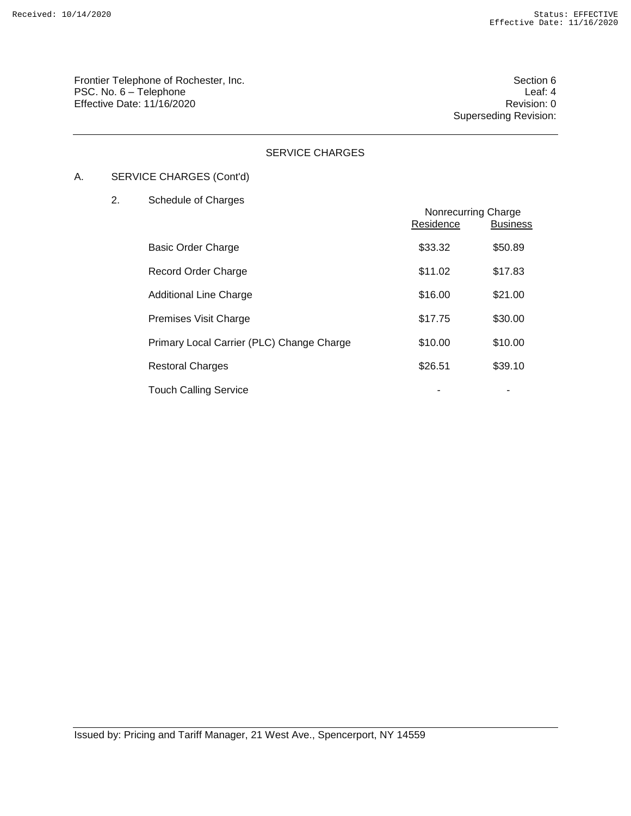Frontier Telephone of Rochester, Inc. Section 6 PSC. No. 6 – Telephone Leaf: 4<br>Effective Date: 11/16/2020 Effective Date:  $11/16/2020$ 

Superseding Revision:

## SERVICE CHARGES

# A. SERVICE CHARGES (Cont'd)

## 2. Schedule of Charges

|                                           | Nonrecurring Charge<br>Residence | <b>Business</b> |
|-------------------------------------------|----------------------------------|-----------------|
| <b>Basic Order Charge</b>                 | \$33.32                          | \$50.89         |
| Record Order Charge                       | \$11.02                          | \$17.83         |
| <b>Additional Line Charge</b>             | \$16.00                          | \$21.00         |
| Premises Visit Charge                     | \$17.75                          | \$30.00         |
| Primary Local Carrier (PLC) Change Charge | \$10.00                          | \$10.00         |
| <b>Restoral Charges</b>                   | \$26.51                          | \$39.10         |
| <b>Touch Calling Service</b>              |                                  |                 |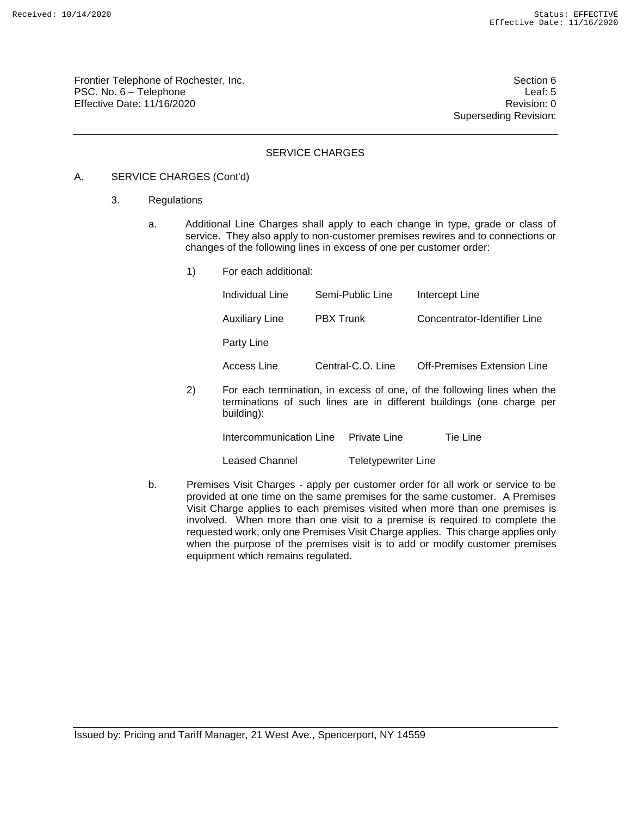Frontier Telephone of Rochester, Inc. Section 6 PSC. No. 6 – Telephone Leaf: 5 Effective Date: 11/16/2020 **Review Accounts** Effective Date: 0

Superseding Revision:

### SERVICE CHARGES

#### A. SERVICE CHARGES (Cont'd)

- 3. Regulations
	- a. Additional Line Charges shall apply to each change in type, grade or class of service. They also apply to non-customer premises rewires and to connections or changes of the following lines in excess of one per customer order:
		- 1) For each additional: Individual Line Semi-Public Line Intercept Line Auxiliary Line PBX Trunk Concentrator-Identifier Line Party Line Access Line Central-C.O. Line Off-Premises Extension Line 2) For each termination, in excess of one, of the following lines when the terminations of such lines are in different buildings (one charge per building): Intercommunication Line Private Line Tie Line

Leased Channel Teletypewriter Line

b. Premises Visit Charges - apply per customer order for all work or service to be provided at one time on the same premises for the same customer. A Premises Visit Charge applies to each premises visited when more than one premises is involved. When more than one visit to a premise is required to complete the requested work, only one Premises Visit Charge applies. This charge applies only when the purpose of the premises visit is to add or modify customer premises equipment which remains regulated.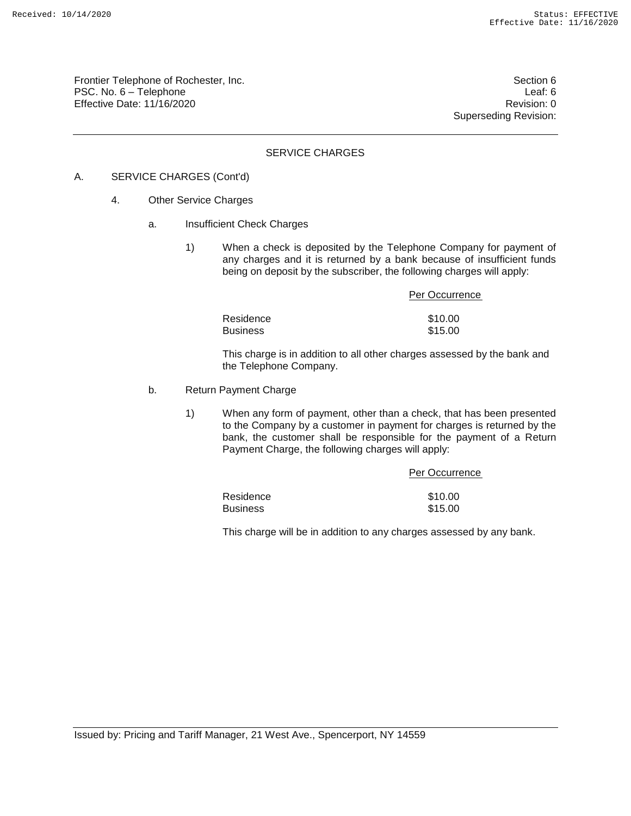Frontier Telephone of Rochester, Inc. Section 6 PSC. No. 6 – Telephone Leaf: 6 Effective Date: 11/16/2020 Revision: 0

Superseding Revision:

### SERVICE CHARGES

### A. SERVICE CHARGES (Cont'd)

- 4. Other Service Charges
	- a. Insufficient Check Charges
		- 1) When a check is deposited by the Telephone Company for payment of any charges and it is returned by a bank because of insufficient funds being on deposit by the subscriber, the following charges will apply:

|                 | Per Occurrence |
|-----------------|----------------|
| Residence       | \$10.00        |
| <b>Business</b> | \$15.00        |

This charge is in addition to all other charges assessed by the bank and the Telephone Company.

#### b. Return Payment Charge

1) When any form of payment, other than a check, that has been presented to the Company by a customer in payment for charges is returned by the bank, the customer shall be responsible for the payment of a Return Payment Charge, the following charges will apply:

| Per Occurrence |
|----------------|
|                |
| \$10.00        |
| \$15.00        |
|                |

This charge will be in addition to any charges assessed by any bank.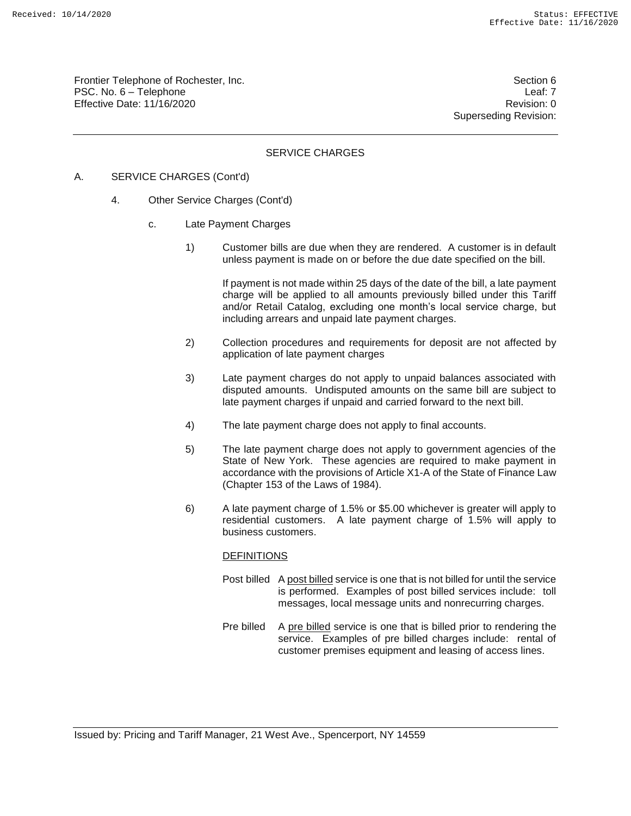Frontier Telephone of Rochester, Inc. Section 6 PSC. No. 6 – Telephone Leaf: 7 Effective Date: 11/16/2020 **Review Accounts** Effective Date: 0

Superseding Revision:

### SERVICE CHARGES

### A. SERVICE CHARGES (Cont'd)

- 4. Other Service Charges (Cont'd)
	- c. Late Payment Charges
		- 1) Customer bills are due when they are rendered. A customer is in default unless payment is made on or before the due date specified on the bill.

If payment is not made within 25 days of the date of the bill, a late payment charge will be applied to all amounts previously billed under this Tariff and/or Retail Catalog, excluding one month's local service charge, but including arrears and unpaid late payment charges.

- 2) Collection procedures and requirements for deposit are not affected by application of late payment charges
- 3) Late payment charges do not apply to unpaid balances associated with disputed amounts. Undisputed amounts on the same bill are subject to late payment charges if unpaid and carried forward to the next bill.
- 4) The late payment charge does not apply to final accounts.
- 5) The late payment charge does not apply to government agencies of the State of New York. These agencies are required to make payment in accordance with the provisions of Article X1-A of the State of Finance Law (Chapter 153 of the Laws of 1984).
- 6) A late payment charge of 1.5% or \$5.00 whichever is greater will apply to residential customers. A late payment charge of 1.5% will apply to business customers.

#### **DEFINITIONS**

- Post billed A post billed service is one that is not billed for until the service is performed. Examples of post billed services include: toll messages, local message units and nonrecurring charges.
- Pre billed A pre billed service is one that is billed prior to rendering the service. Examples of pre billed charges include: rental of customer premises equipment and leasing of access lines.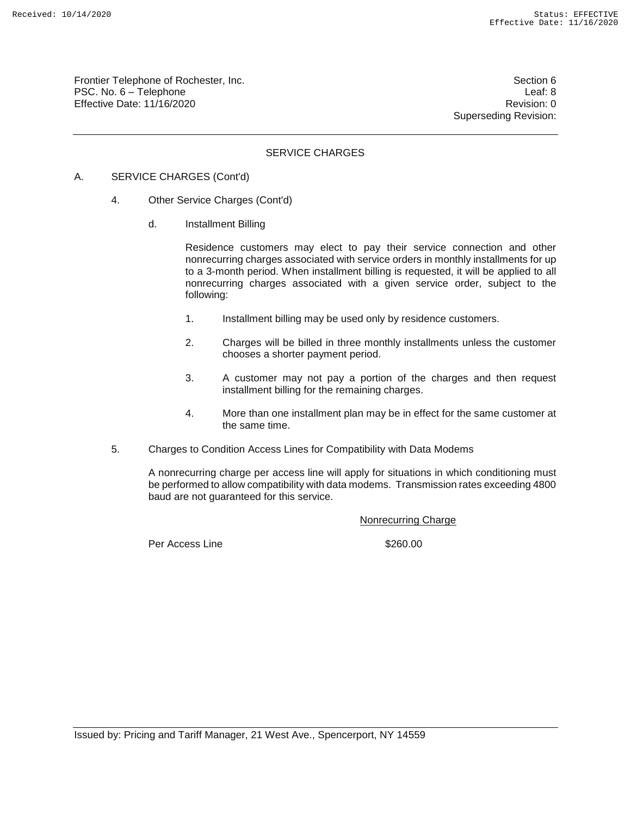Frontier Telephone of Rochester, Inc. Section 6 PSC. No. 6 – Telephone Leaf: 8 Effective Date: 11/16/2020 **Review Accounts** Effective Date: 0

Superseding Revision:

### SERVICE CHARGES

- A. SERVICE CHARGES (Cont'd)
	- 4. Other Service Charges (Cont'd)
		- d. Installment Billing

Residence customers may elect to pay their service connection and other nonrecurring charges associated with service orders in monthly installments for up to a 3-month period. When installment billing is requested, it will be applied to all nonrecurring charges associated with a given service order, subject to the following:

- 1. Installment billing may be used only by residence customers.
- 2. Charges will be billed in three monthly installments unless the customer chooses a shorter payment period.
- 3. A customer may not pay a portion of the charges and then request installment billing for the remaining charges.
- 4. More than one installment plan may be in effect for the same customer at the same time.
- 5. Charges to Condition Access Lines for Compatibility with Data Modems

A nonrecurring charge per access line will apply for situations in which conditioning must be performed to allow compatibility with data modems. Transmission rates exceeding 4800 baud are not guaranteed for this service.

Nonrecurring Charge

Per Access Line \$260.00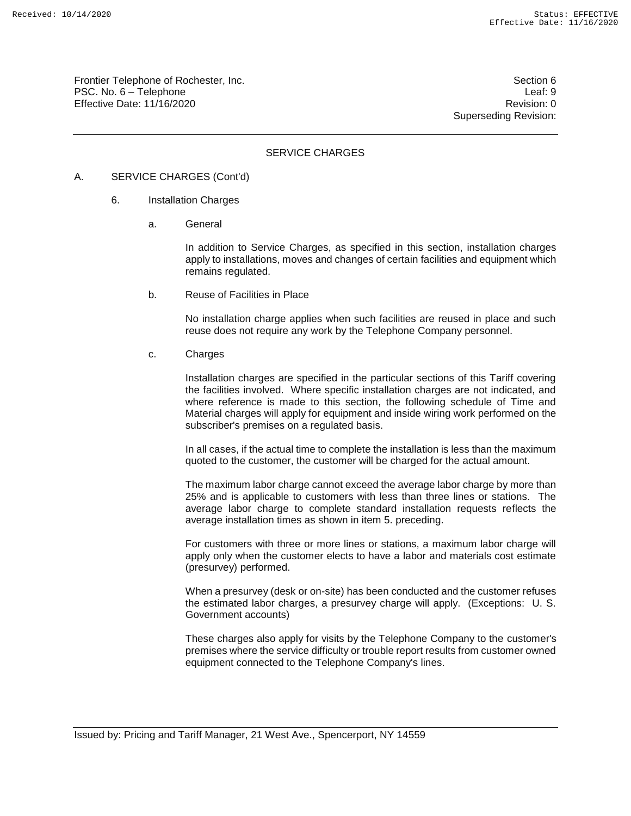Frontier Telephone of Rochester, Inc. Section 6 Section 6 PSC. No. 6 – Telephone Leaf: 9 Effective Date: 11/16/2020 **Review Accounts** Effective Date: 0

Superseding Revision:

### SERVICE CHARGES

#### A. SERVICE CHARGES (Cont'd)

- 6. Installation Charges
	- a. General

In addition to Service Charges, as specified in this section, installation charges apply to installations, moves and changes of certain facilities and equipment which remains regulated.

b. Reuse of Facilities in Place

No installation charge applies when such facilities are reused in place and such reuse does not require any work by the Telephone Company personnel.

c. Charges

Installation charges are specified in the particular sections of this Tariff covering the facilities involved. Where specific installation charges are not indicated, and where reference is made to this section, the following schedule of Time and Material charges will apply for equipment and inside wiring work performed on the subscriber's premises on a regulated basis.

In all cases, if the actual time to complete the installation is less than the maximum quoted to the customer, the customer will be charged for the actual amount.

The maximum labor charge cannot exceed the average labor charge by more than 25% and is applicable to customers with less than three lines or stations. The average labor charge to complete standard installation requests reflects the average installation times as shown in item 5. preceding.

For customers with three or more lines or stations, a maximum labor charge will apply only when the customer elects to have a labor and materials cost estimate (presurvey) performed.

When a presurvey (desk or on-site) has been conducted and the customer refuses the estimated labor charges, a presurvey charge will apply. (Exceptions: U. S. Government accounts)

These charges also apply for visits by the Telephone Company to the customer's premises where the service difficulty or trouble report results from customer owned equipment connected to the Telephone Company's lines.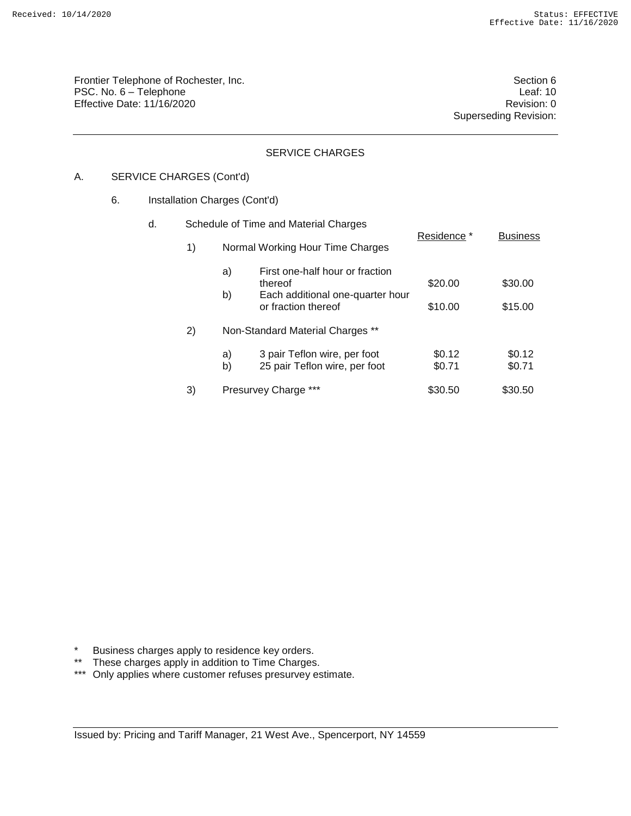Frontier Telephone of Rochester, Inc. Section 6 PSC. No. 6 – Telephone Leaf: 10 Effective Date: 11/16/2020 **Revision: 0 Revision: 0** 

Superseding Revision:

### SERVICE CHARGES

## A. SERVICE CHARGES (Cont'd)

### 6. Installation Charges (Cont'd)

| d. | Schedule of Time and Material Charges |                                  |                                                                                            |                    |                    |
|----|---------------------------------------|----------------------------------|--------------------------------------------------------------------------------------------|--------------------|--------------------|
|    | 1)                                    | Normal Working Hour Time Charges |                                                                                            | Residence *        | <b>Business</b>    |
|    |                                       | a)<br>thereof<br>b)              | First one-half hour or fraction<br>Each additional one-quarter hour<br>or fraction thereof | \$20.00<br>\$10.00 | \$30.00<br>\$15.00 |
|    | 2)                                    | Non-Standard Material Charges ** |                                                                                            |                    |                    |
|    |                                       | a)<br>b)                         | 3 pair Teflon wire, per foot<br>25 pair Teflon wire, per foot                              | \$0.12<br>\$0.71   | \$0.12<br>\$0.71   |
|    | 3)                                    | <b>Presurvey Charge</b>          |                                                                                            | \$30.50            | \$30.50            |

\* Business charges apply to residence key orders.

\*\* These charges apply in addition to Time Charges.

\*\*\* Only applies where customer refuses presurvey estimate.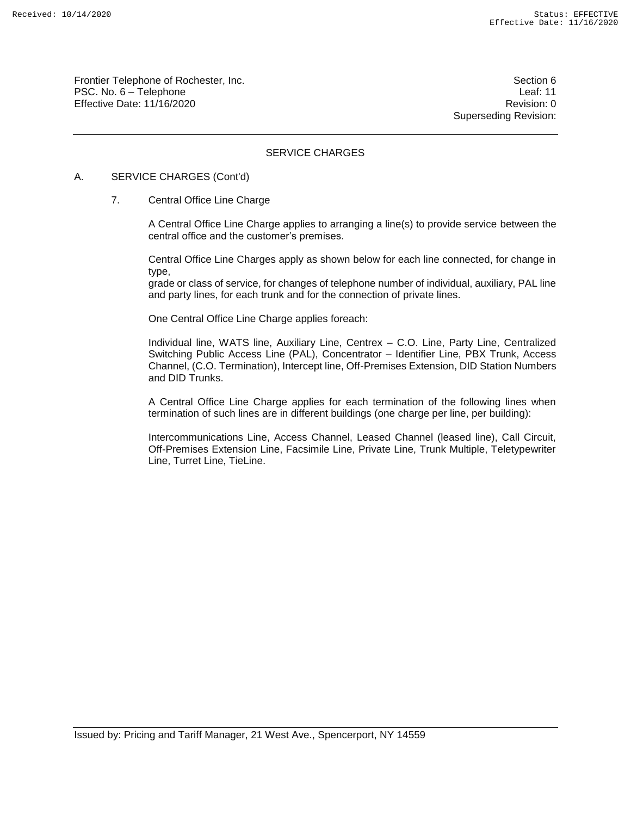Frontier Telephone of Rochester, Inc. Section 6 PSC. No. 6 – Telephone Leaf: 11 Effective Date: 11/16/2020 Revision: 0

Superseding Revision:

## SERVICE CHARGES

#### A. SERVICE CHARGES (Cont'd)

#### 7. Central Office Line Charge

A Central Office Line Charge applies to arranging a line(s) to provide service between the central office and the customer's premises.

Central Office Line Charges apply as shown below for each line connected, for change in type,

grade or class of service, for changes of telephone number of individual, auxiliary, PAL line and party lines, for each trunk and for the connection of private lines.

One Central Office Line Charge applies foreach:

Individual line, WATS line, Auxiliary Line, Centrex – C.O. Line, Party Line, Centralized Switching Public Access Line (PAL), Concentrator – Identifier Line, PBX Trunk, Access Channel, (C.O. Termination), Intercept line, Off-Premises Extension, DID Station Numbers and DID Trunks.

A Central Office Line Charge applies for each termination of the following lines when termination of such lines are in different buildings (one charge per line, per building):

Intercommunications Line, Access Channel, Leased Channel (leased line), Call Circuit, Off-Premises Extension Line, Facsimile Line, Private Line, Trunk Multiple, Teletypewriter Line, Turret Line, TieLine.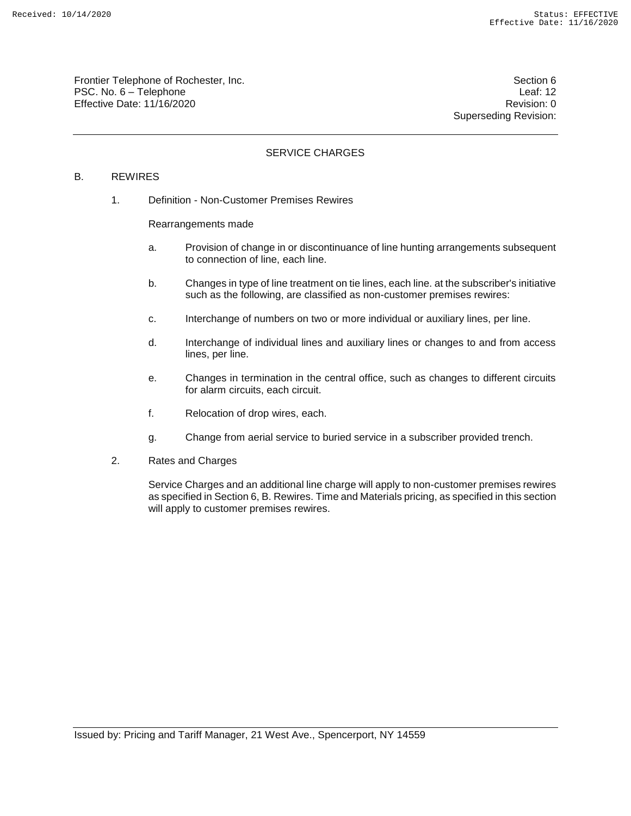Frontier Telephone of Rochester, Inc. Section 6 PSC. No. 6 – Telephone Leaf: 12 Effective Date: 11/16/2020 **Review Account 2018** Revision: 0

Superseding Revision:

## SERVICE CHARGES

### B. REWIRES

1. Definition - Non-Customer Premises Rewires

Rearrangements made

- a. Provision of change in or discontinuance of line hunting arrangements subsequent to connection of line, each line.
- b. Changes in type of line treatment on tie lines, each line. at the subscriber's initiative such as the following, are classified as non-customer premises rewires:
- c. Interchange of numbers on two or more individual or auxiliary lines, per line.
- d. Interchange of individual lines and auxiliary lines or changes to and from access lines, per line.
- e. Changes in termination in the central office, such as changes to different circuits for alarm circuits, each circuit.
- f. Relocation of drop wires, each.
- g. Change from aerial service to buried service in a subscriber provided trench.
- 2. Rates and Charges

Service Charges and an additional line charge will apply to non-customer premises rewires as specified in Section 6, B. Rewires. Time and Materials pricing, as specified in this section will apply to customer premises rewires.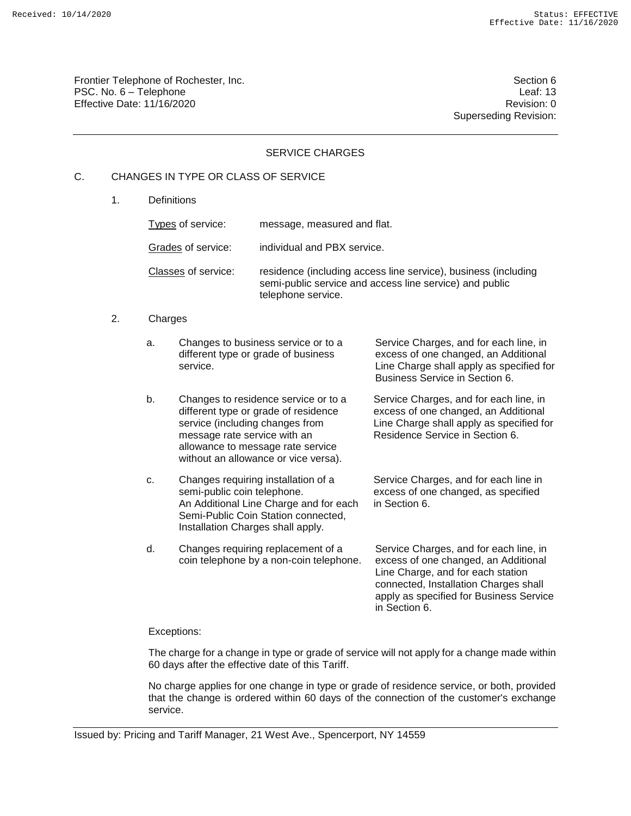Frontier Telephone of Rochester, Inc. Section 6 PSC. No. 6 – Telephone Leaf: 13 Effective Date: 11/16/2020 **Review Account 2018** Revision: 0

Superseding Revision:

### SERVICE CHARGES

## C. CHANGES IN TYPE OR CLASS OF SERVICE

1. Definitions

Types of service: message, measured and flat. Grades of service: individual and PBX service. Classes of service: residence (including access line service), business (including semi-public service and access line service) and public telephone service.

#### 2. Charges

| a. | Changes to business service or to a<br>different type or grade of business<br>service.                                                                                                                                       | Service Charges, and for each line, in<br>excess of one changed, an Additional<br>Line Charge shall apply as specified for<br>Business Service in Section 6.                                                             |
|----|------------------------------------------------------------------------------------------------------------------------------------------------------------------------------------------------------------------------------|--------------------------------------------------------------------------------------------------------------------------------------------------------------------------------------------------------------------------|
| b. | Changes to residence service or to a<br>different type or grade of residence<br>service (including changes from<br>message rate service with an<br>allowance to message rate service<br>without an allowance or vice versa). | Service Charges, and for each line, in<br>excess of one changed, an Additional<br>Line Charge shall apply as specified for<br>Residence Service in Section 6.                                                            |
| c. | Changes requiring installation of a<br>semi-public coin telephone.<br>An Additional Line Charge and for each<br>Semi-Public Coin Station connected,<br>Installation Charges shall apply.                                     | Service Charges, and for each line in<br>excess of one changed, as specified<br>in Section 6.                                                                                                                            |
| d. | Changes requiring replacement of a<br>coin telephone by a non-coin telephone.                                                                                                                                                | Service Charges, and for each line, in<br>excess of one changed, an Additional<br>Line Charge, and for each station<br>connected, Installation Charges shall<br>apply as specified for Business Service<br>in Section 6. |

#### Exceptions:

The charge for a change in type or grade of service will not apply for a change made within 60 days after the effective date of this Tariff.

No charge applies for one change in type or grade of residence service, or both, provided that the change is ordered within 60 days of the connection of the customer's exchange service.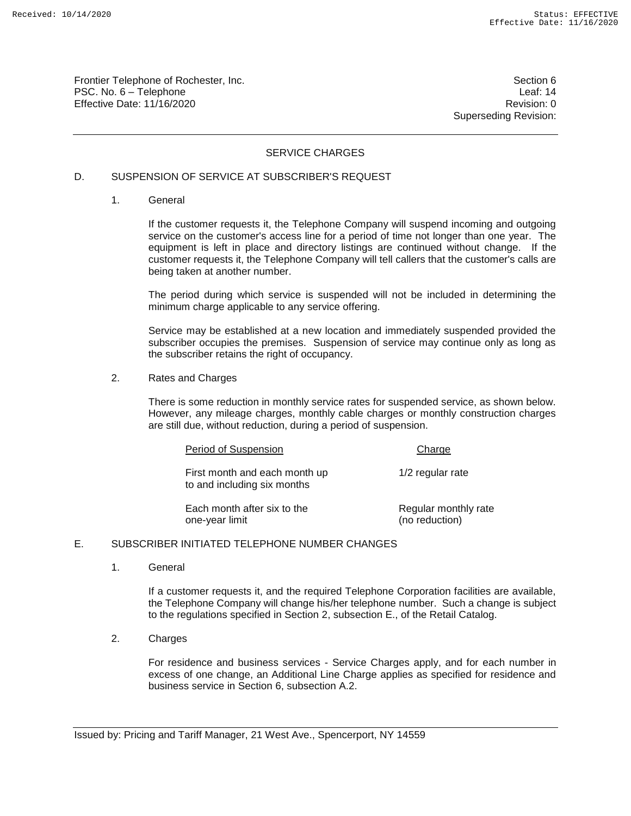Frontier Telephone of Rochester, Inc. Section 6 PSC. No. 6 – Telephone Leaf: 14 Effective Date: 11/16/2020 **Review Account 2018** Revision: 0

Superseding Revision:

### SERVICE CHARGES

### D. SUSPENSION OF SERVICE AT SUBSCRIBER'S REQUEST

1. General

If the customer requests it, the Telephone Company will suspend incoming and outgoing service on the customer's access line for a period of time not longer than one year. The equipment is left in place and directory listings are continued without change. If the customer requests it, the Telephone Company will tell callers that the customer's calls are being taken at another number.

The period during which service is suspended will not be included in determining the minimum charge applicable to any service offering.

Service may be established at a new location and immediately suspended provided the subscriber occupies the premises. Suspension of service may continue only as long as the subscriber retains the right of occupancy.

2. Rates and Charges

There is some reduction in monthly service rates for suspended service, as shown below. However, any mileage charges, monthly cable charges or monthly construction charges are still due, without reduction, during a period of suspension.

| Period of Suspension                                         | Charge                                 |
|--------------------------------------------------------------|----------------------------------------|
| First month and each month up<br>to and including six months | 1/2 regular rate                       |
| Each month after six to the<br>one-year limit                | Regular monthly rate<br>(no reduction) |

#### E. SUBSCRIBER INITIATED TELEPHONE NUMBER CHANGES

1. General

If a customer requests it, and the required Telephone Corporation facilities are available, the Telephone Company will change his/her telephone number. Such a change is subject to the regulations specified in Section 2, subsection E., of the Retail Catalog.

2. Charges

For residence and business services - Service Charges apply, and for each number in excess of one change, an Additional Line Charge applies as specified for residence and business service in Section 6, subsection A.2.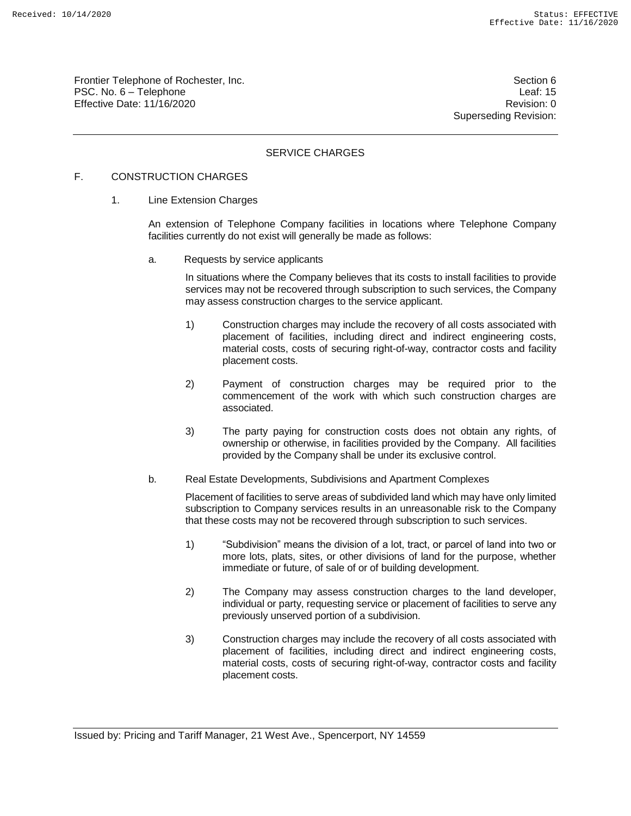Frontier Telephone of Rochester, Inc. Section 6 Section 6 PSC. No. 6 – Telephone Leaf: 15 Effective Date: 11/16/2020 **Review Accounts** Effective Date: 0

Superseding Revision:

## SERVICE CHARGES

## F. CONSTRUCTION CHARGES

1. Line Extension Charges

An extension of Telephone Company facilities in locations where Telephone Company facilities currently do not exist will generally be made as follows:

a. Requests by service applicants

In situations where the Company believes that its costs to install facilities to provide services may not be recovered through subscription to such services, the Company may assess construction charges to the service applicant.

- 1) Construction charges may include the recovery of all costs associated with placement of facilities, including direct and indirect engineering costs, material costs, costs of securing right-of-way, contractor costs and facility placement costs.
- 2) Payment of construction charges may be required prior to the commencement of the work with which such construction charges are associated.
- 3) The party paying for construction costs does not obtain any rights, of ownership or otherwise, in facilities provided by the Company. All facilities provided by the Company shall be under its exclusive control.
- b. Real Estate Developments, Subdivisions and Apartment Complexes

Placement of facilities to serve areas of subdivided land which may have only limited subscription to Company services results in an unreasonable risk to the Company that these costs may not be recovered through subscription to such services.

- 1) "Subdivision" means the division of a lot, tract, or parcel of land into two or more lots, plats, sites, or other divisions of land for the purpose, whether immediate or future, of sale of or of building development.
- 2) The Company may assess construction charges to the land developer, individual or party, requesting service or placement of facilities to serve any previously unserved portion of a subdivision.
- 3) Construction charges may include the recovery of all costs associated with placement of facilities, including direct and indirect engineering costs, material costs, costs of securing right-of-way, contractor costs and facility placement costs.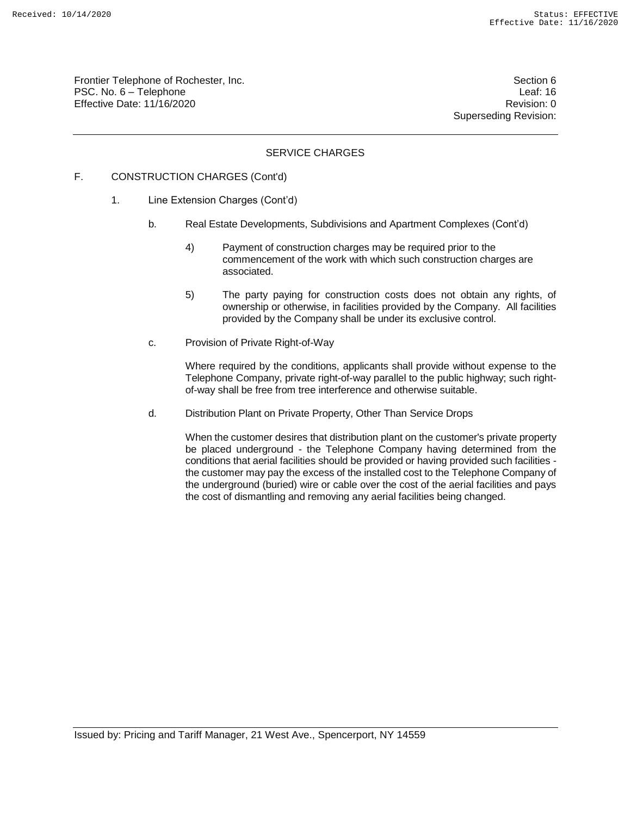Frontier Telephone of Rochester, Inc. Section 6 PSC. No. 6 – Telephone Leaf: 16 Effective Date: 11/16/2020 **Review Accounts** Effective Date: 0

Superseding Revision:

## SERVICE CHARGES

## F. CONSTRUCTION CHARGES (Cont'd)

- 1. Line Extension Charges (Cont'd)
	- b. Real Estate Developments, Subdivisions and Apartment Complexes (Cont'd)
		- 4) Payment of construction charges may be required prior to the commencement of the work with which such construction charges are associated.
		- 5) The party paying for construction costs does not obtain any rights, of ownership or otherwise, in facilities provided by the Company. All facilities provided by the Company shall be under its exclusive control.
	- c. Provision of Private Right-of-Way

Where required by the conditions, applicants shall provide without expense to the Telephone Company, private right-of-way parallel to the public highway; such rightof-way shall be free from tree interference and otherwise suitable.

d. Distribution Plant on Private Property, Other Than Service Drops

When the customer desires that distribution plant on the customer's private property be placed underground - the Telephone Company having determined from the conditions that aerial facilities should be provided or having provided such facilities the customer may pay the excess of the installed cost to the Telephone Company of the underground (buried) wire or cable over the cost of the aerial facilities and pays the cost of dismantling and removing any aerial facilities being changed.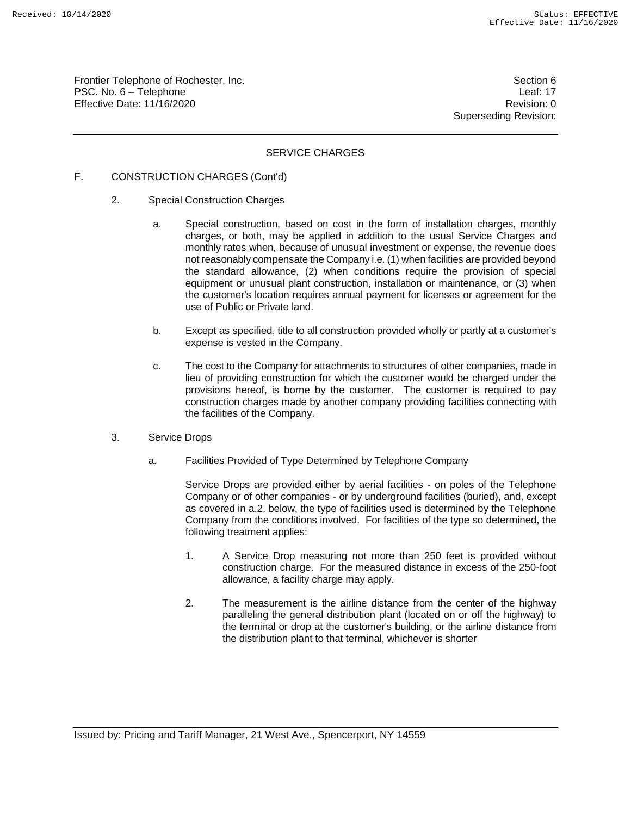Frontier Telephone of Rochester, Inc. Section 6 Section 6 PSC. No. 6 – Telephone Leaf: 17 Effective Date: 11/16/2020 **Review Accounts** Effective Date: 0

Superseding Revision:

## SERVICE CHARGES

## F. CONSTRUCTION CHARGES (Cont'd)

- 2. Special Construction Charges
	- a. Special construction, based on cost in the form of installation charges, monthly charges, or both, may be applied in addition to the usual Service Charges and monthly rates when, because of unusual investment or expense, the revenue does not reasonably compensate the Company i.e. (1) when facilities are provided beyond the standard allowance, (2) when conditions require the provision of special equipment or unusual plant construction, installation or maintenance, or (3) when the customer's location requires annual payment for licenses or agreement for the use of Public or Private land.
	- b. Except as specified, title to all construction provided wholly or partly at a customer's expense is vested in the Company.
	- c. The cost to the Company for attachments to structures of other companies, made in lieu of providing construction for which the customer would be charged under the provisions hereof, is borne by the customer. The customer is required to pay construction charges made by another company providing facilities connecting with the facilities of the Company.
- 3. Service Drops
	- a. Facilities Provided of Type Determined by Telephone Company

Service Drops are provided either by aerial facilities - on poles of the Telephone Company or of other companies - or by underground facilities (buried), and, except as covered in a.2. below, the type of facilities used is determined by the Telephone Company from the conditions involved. For facilities of the type so determined, the following treatment applies:

- 1. A Service Drop measuring not more than 250 feet is provided without construction charge. For the measured distance in excess of the 250-foot allowance, a facility charge may apply.
- 2. The measurement is the airline distance from the center of the highway paralleling the general distribution plant (located on or off the highway) to the terminal or drop at the customer's building, or the airline distance from the distribution plant to that terminal, whichever is shorter